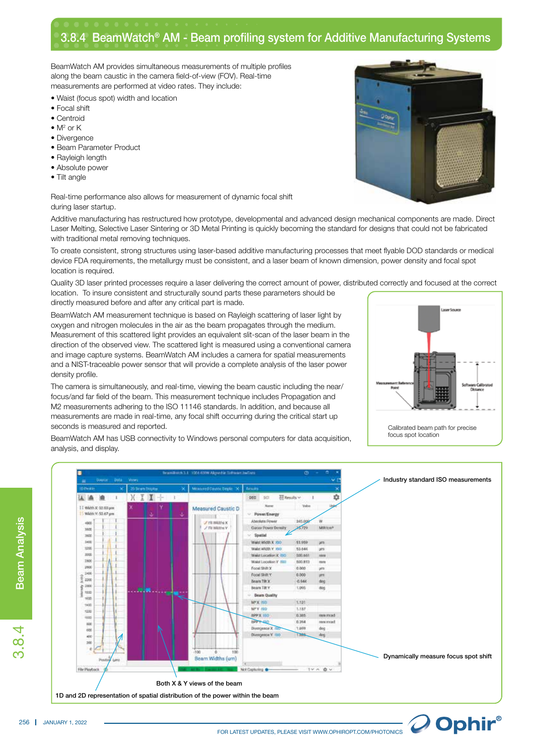## 3.8.4 BeamWatch® AM - Beam profiling system for Additive Manufacturing Systems

BeamWatch AM provides simultaneous measurements of multiple profiles along the beam caustic in the camera field-of-view (FOV). Real-time measurements are performed at video rates. They include:

- Waist (focus spot) width and location
- Focal shift
- Centroid
- $\bullet$  M<sup>2</sup> or K
- Divergence
- Beam Parameter Product
- Rayleigh length
- Absolute power
- Tilt angle

Real-time performance also allows for measurement of dynamic focal shift during laser startup.

Additive manufacturing has restructured how prototype, developmental and advanced design mechanical components are made. Direct Laser Melting, Selective Laser Sintering or 3D Metal Printing is quickly becoming the standard for designs that could not be fabricated with traditional metal removing techniques.

To create consistent, strong structures using laser-based additive manufacturing processes that meet flyable DOD standards or medical device FDA requirements, the metallurgy must be consistent, and a laser beam of known dimension, power density and focal spot location is required.

Quality 3D laser printed processes require a laser delivering the correct amount of power, distributed correctly and focused at the correct location. To insure consistent and structurally sound parts these parameters should be directly measured before and after any critical part is made.

BeamWatch AM measurement technique is based on Rayleigh scattering of laser light by oxygen and nitrogen molecules in the air as the beam propagates through the medium. Measurement of this scattered light provides an equivalent slit-scan of the laser beam in the direction of the observed view. The scattered light is measured using a conventional camera and image capture systems. BeamWatch AM includes a camera for spatial measurements and a NIST-traceable power sensor that will provide a complete analysis of the laser power density profile.

The camera is simultaneously, and real-time, viewing the beam caustic including the near/ focus/and far field of the beam. This measurement technique includes Propagation and M2 measurements adhering to the ISO 11146 standards. In addition, and because all measurements are made in real-time, any focal shift occurring during the critical start up seconds is measured and reported.



O Ophir®

BeamWatch AM has USB connectivity to Windows personal computers for data acquisition, analysis, and display.





Beam Analysis

**Beam Analysis** 

3.8.4